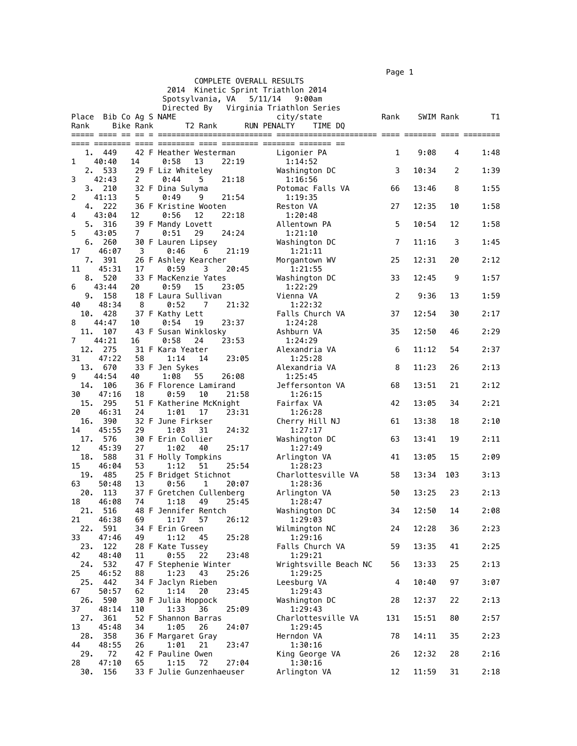$\blacksquare$  Page 1  $\blacksquare$ 

|           |                        |                  |                                        |       | COMPLETE OVERALL RESULTS |                       | .              |           |     |      |
|-----------|------------------------|------------------|----------------------------------------|-------|--------------------------|-----------------------|----------------|-----------|-----|------|
|           |                        |                  | 2014 Kinetic Sprint Triathlon 2014     |       |                          |                       |                |           |     |      |
|           |                        |                  | Spotsylvania, VA                       |       | 5/11/14                  | 9:00am                |                |           |     |      |
|           |                        |                  | Directed By Virginia Triathlon Series  |       |                          |                       |                |           |     |      |
|           | Place Bib Co Ag S NAME |                  |                                        |       | city/state               |                       | Rank           | SWIM Rank |     | T1   |
| Rank      |                        | <b>Bike Rank</b> | T2 Rank                                |       | <b>RUN PENALTY</b>       | TIME DQ               |                |           |     |      |
|           |                        |                  |                                        |       |                          |                       |                |           |     |      |
|           | 1. 449                 |                  | 42 F Heather Westerman                 |       | Ligonier PA              |                       | 1              | 9:08      | 4   | 1:48 |
| 1         | 40:40                  | 14               | 0:58<br>13                             | 22:19 | 1:14:52                  |                       |                |           |     |      |
| 2.        | 533                    |                  | 29 F Liz Whiteley                      |       | Washington DC            |                       | 3              | 10:34     | 2   | 1:39 |
| 3         | 42:43                  | 2                | 0:44<br>5                              | 21:18 | 1:16:56                  |                       |                |           |     |      |
|           | 3. 210                 |                  | 32 F Dina Sulyma                       |       |                          | Potomac Falls VA      | 66             | 13:46     | 8   | 1:55 |
| 2         | 41:13<br>4. 222        | 5                | 0:49<br>9<br>36 F Kristine Wooten      | 21:54 | 1:19:35<br>Reston VA     |                       | 27             | 12:35     | 10  | 1:58 |
| 4         | 43:04                  | 12               | 0:56<br>12                             | 22:18 | 1:20:48                  |                       |                |           |     |      |
| 5.        | 316                    |                  | 39 F Mandy Lovett                      |       | Allentown PA             |                       | 5              | 10:54     | 12  | 1:58 |
| 5         | 43:05                  | 7                | 0:51<br>29                             | 24:24 | 1:21:10                  |                       |                |           |     |      |
|           | 6.260                  |                  | 30 F Lauren Lipsey                     |       | Washington DC            |                       | $\overline{7}$ | 11:16     | 3   | 1:45 |
| 17        | 46:07<br>7. 391        | 3                | 0:46<br>6<br>26 F Ashley Kearcher      | 21:19 | 1:21:11                  |                       | 25             | 12:31     | 20  | 2:12 |
| 11        | 45:31                  | 17               | 0:59<br>3                              | 20:45 | Morgantown WV<br>1:21:55 |                       |                |           |     |      |
|           | 8. 520                 |                  | 33 F MacKenzie Yates                   |       | Washington DC            |                       | 33             | 12:45     | 9   | 1:57 |
| 6         | 43:44                  | 20               | 0:59<br>15                             | 23:05 | 1:22:29                  |                       |                |           |     |      |
| 9.        | 158                    |                  | 18 F Laura Sullivan                    |       | Vienna VA                |                       | 2              | 9:36      | 13  | 1:59 |
| 40        | 48:34                  | 8                | 0:52<br>$\overline{7}$                 | 21:32 | 1:22:32                  |                       |                |           |     |      |
| 10.<br>8  | 428<br>44:47           | 10               | 37 F Kathy Lett<br>0:54<br>19          | 23:37 | 1:24:28                  | Falls Church VA       | 37             | 12:54     | 30  | 2:17 |
| 11.       | 107                    |                  | 43 F Susan Winklosky                   |       | Ashburn VA               |                       | 35             | 12:50     | 46  | 2:29 |
| 7         | 44:21                  | 16               | 0:58<br>24                             | 23:53 | 1:24:29                  |                       |                |           |     |      |
| 12.       | 275                    |                  | 31 F Kara Yeater                       |       | Alexandria VA            |                       | 6              | 11:12     | 54  | 2:37 |
| 31        | 47:22                  | 58               | 1:14<br>14                             | 23:05 | 1:25:28                  |                       |                |           |     |      |
| 13.<br>9  | 670<br>44:54           | 40               | 33 F Jen Sykes<br>1:08<br>55           | 26:08 | Alexandria VA<br>1:25:45 |                       | 8              | 11:23     | 26  | 2:13 |
| 14.       | 106                    |                  | 36 F Florence Lamirand                 |       |                          | Jeffersonton VA       | 68             | 13:51     | 21  | 2:12 |
| 30        | 47:16                  | 18               | 0:59<br>10                             | 21:58 | 1:26:15                  |                       |                |           |     |      |
|           | 15. 295                |                  | 51 F Katherine McKnight                |       | Fairfax VA               |                       | 42             | 13:05     | 34  | 2:21 |
| 20<br>16. | 46:31<br>390           | 24               | 1:01<br>17<br>32 F June Firkser        | 23:31 | 1:26:28                  |                       |                | 13:38     | 18  |      |
| 14        | 45:55                  | 29               | 1:03<br>31                             | 24:32 | 1:27:17                  | Cherry Hill NJ        | 61             |           |     | 2:10 |
|           | 17. 576                |                  | 30 F Erin Collier                      |       | Washington DC            |                       | 63             | 13:41     | 19  | 2:11 |
| 12        | 45:39                  | 27               | 1:02<br>40                             | 25:17 | 1:27:49                  |                       |                |           |     |      |
| 18.       | 588                    |                  | 31 F Holly Tompkins                    |       | Arlington VA             |                       | 41             | 13:05     | 15  | 2:09 |
| 15<br>19. | 46:04<br>485           | 53               | 1:12<br>51<br>25 F Bridget Stichnot    | 25:54 | 1:28:23                  | Charlottesville VA    | 58             | 13:34     | 103 | 3:13 |
| 63        | 50:48                  | 13               | 0:56<br>1                              | 20:07 | 1:28:36                  |                       |                |           |     |      |
| 20.       | 113                    |                  | 37 F Gretchen Cullenberg               |       | Arlington VA             |                       | 50             | 13:25     | 23  | 2:13 |
| 18        | 46:08                  | 74               | 1:18<br>49                             | 25:45 | 1:28:47                  |                       |                |           |     |      |
| 21.       | 516<br>46:38           |                  | 48 F Jennifer Rentch                   |       | Washington DC            |                       | 34             | 12:50     | 14  | 2:08 |
| 21<br>22. | 591                    | 69               | 1:17<br>57<br>34 F Erin Green          | 26:12 | 1:29:03<br>Wilmington NC |                       | 24             | 12:28     | 36  | 2:23 |
| 33        | 47:46                  | 49               | 1:12<br>45                             | 25:28 | 1:29:16                  |                       |                |           |     |      |
| 23.       | 122                    |                  | 28 F Kate Tussey                       |       |                          | Falls Church VA       | 59             | 13:35     | 41  | 2:25 |
| 42        | 48:40                  | 11               | 0:55<br>22                             | 23:48 | 1:29:21                  |                       |                |           |     |      |
| 24.<br>25 | 532<br>46:52           |                  | 47 F Stephenie Winter<br>1:23<br>43    | 25:26 | 1:29:25                  | Wrightsville Beach NC | 56             | 13:33     | 25  | 2:13 |
| 25.       | 442                    | 88               | 34 F Jaclyn Rieben                     |       | Leesburg VA              |                       | 4              | 10:40     | 97  | 3:07 |
| 67        | 50:57                  | 62               | 1:14<br>20                             | 23:45 | 1:29:43                  |                       |                |           |     |      |
| 26.       | 590                    |                  | 30 F Julia Hoppock                     |       | Washington DC            |                       | 28             | 12:37     | 22  | 2:13 |
| 37        | 48:14                  | 110              | 1:33<br>36                             | 25:09 | 1:29:43                  |                       |                |           |     |      |
| 27.<br>13 | 361<br>45:48           | 34               | 52 F Shannon Barras<br>1:05<br>26      | 24:07 | 1:29:45                  | Charlottesville VA    | 131            | 15:51     | 80  | 2:57 |
| 28.       | 358                    |                  | 36 F Margaret Gray                     |       | Herndon VA               |                       | 78             | 14:11     | 35  | 2:23 |
| 44        | 48:55                  | 26               | 1:01<br>21                             | 23:47 | 1:30:16                  |                       |                |           |     |      |
| 29.       | 72                     |                  | 42 F Pauline Owen                      |       |                          | King George VA        | 26             | 12:32     | 28  | 2:16 |
| 28<br>30. | 47:10<br>156           | 65               | 1:15<br>72<br>33 F Julie Gunzenhaeuser | 27:04 | 1:30:16<br>Arlington VA  |                       | 12             | 11:59     | 31  | 2:18 |
|           |                        |                  |                                        |       |                          |                       |                |           |     |      |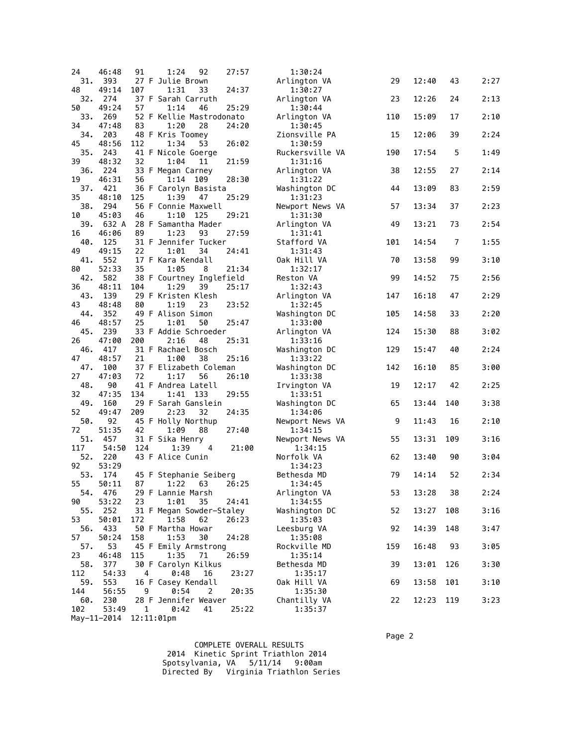| 24         | 46:48                  | 91           | 92<br>1:24                             | 27:57 | 1:30:24                    |     |             |                |      |
|------------|------------------------|--------------|----------------------------------------|-------|----------------------------|-----|-------------|----------------|------|
| 31.        | 393                    |              | 27 F Julie Brown                       |       | Arlington VA               | 29  | 12:40       | 43             | 2:27 |
| 48         | 49:14                  | 107          | 33<br>1:31                             | 24:37 | 1:30:27                    |     |             |                |      |
| 32.<br>50  | 274<br>49:24           | 57           | 37 F Sarah Carruth<br>1:14<br>46       | 25:29 | Arlington VA<br>1:30:44    | 23  | 12:26       | 24             | 2:13 |
| 33.        | 269                    |              | 52 F Kellie Mastrodonato               |       | Arlington VA               | 110 | 15:09       | 17             | 2:10 |
| 34         | 47:48                  | 83           | 1:20<br>28                             | 24:20 | 1:30:45                    |     |             |                |      |
| 34.        | 203                    |              | 48 F Kris Toomey                       |       | Zionsville PA              | 15  | 12:06       | 39             | 2:24 |
| 45         | 48:56                  | 112          | 1:34<br>53                             | 26:02 | 1:30:59                    |     |             |                |      |
| 35.        | 243                    |              | 41 F Nicole Goerge                     |       | Ruckersville VA            | 190 | 17:54       | 5              | 1:49 |
| 39<br>36.  | 48:32<br>224           | 32           | 1:04<br>11<br>33 F Megan Carney        | 21:59 | 1:31:16<br>Arlington VA    | 38  | 12:55       | 27             | 2:14 |
| 19         | 46:31                  | 56           | 1:14<br>109                            | 28:30 | 1:31:22                    |     |             |                |      |
| 37.        | 421                    |              | 36 F Carolyn Basista                   |       | Washington DC              | 44  | 13:09       | 83             | 2:59 |
| 35         | 48:10                  | 125          | 1:39<br>47                             | 25:29 | 1:31:23                    |     |             |                |      |
| 38.        | 294                    |              | 56 F Connie Maxwell                    |       | Newport News VA            | 57  | 13:34       | 37             | 2:23 |
| 10<br>39.  | 45:03<br>632 A         | 46           | 1:10<br>125<br>28 F Samantha Mader     | 29:21 | 1:31:30<br>Arlington VA    | 49  | 13:21       | 73             | 2:54 |
| 16         | 46:06                  | 89           | 1:23<br>93                             | 27:59 | 1:31:41                    |     |             |                |      |
| 40.        | 125                    |              | 31 F Jennifer Tucker                   |       | Stafford VA                | 101 | 14:54       | $\overline{7}$ | 1:55 |
| 49         | 49:15                  | 22           | 1:01<br>34                             | 24:41 | 1:31:43                    |     |             |                |      |
| 41.        | 552                    |              | 17 F Kara Kendall                      |       | Oak Hill VA                | 70  | 13:58       | 99             | 3:10 |
| 80<br>42.  | 52:33<br>582           | 35           | 1:05<br>8                              | 21:34 | 1:32:17<br>Reston VA       | 99  | 14:52       | 75             | 2:56 |
| 36         | 48:11                  | 104          | 38 F Courtney Inglefield<br>1:29<br>39 | 25:17 | 1:32:43                    |     |             |                |      |
| 43.        | 139                    |              | 29 F Kristen Klesh                     |       | Arlington VA               | 147 | 16:18       | 47             | 2:29 |
| 43         | 48:48                  | 80           | 1:19<br>23                             | 23:52 | 1:32:45                    |     |             |                |      |
| 44.        | 352                    |              | 49 F Alison Simon                      |       | Washington DC              | 105 | 14:58       | 33             | 2:20 |
| 46<br>45.  | 48:57<br>239           | 25           | 1:01<br>50<br>33 F Addie Schroeder     | 25:47 | 1:33:00                    | 124 | 15:30       | 88             | 3:02 |
| 26         | 47:00                  | 200          | 2:16<br>48                             | 25:31 | Arlington VA<br>1:33:16    |     |             |                |      |
| 46.        | 417                    |              | 31 F Rachael Bosch                     |       | Washington DC              | 129 | 15:47       | 40             | 2:24 |
| 47         | 48:57                  | 21           | 1:00<br>38                             | 25:16 | 1:33:22                    |     |             |                |      |
| 47.        | 100                    |              | 37 F Elizabeth Coleman                 |       | Washington DC              | 142 | 16:10       | 85             | 3:00 |
| 27         | 47:03                  | 72           | 1:17<br>56                             | 26:10 | 1:33:38                    |     |             |                |      |
| 48.<br>32  | 90<br>47:35            | 134          | 41 F Andrea Latell<br>1:41<br>133      | 29:55 | Irvington VA<br>1:33:51    | 19  | 12:17       | 42             | 2:25 |
| 49.        | 160                    |              | 29 F Sarah Ganslein                    |       | Washington DC              | 65  | 13:44       | 140            | 3:38 |
| 52         | 49:47                  | 209          | 2:23<br>32                             | 24:35 | 1:34:06                    |     |             |                |      |
| 50.        | 92                     |              | 45 F Holly Northup                     |       | Newport News VA            | 9   | 11:43       | 16             | 2:10 |
| 72         | 51:35                  | 42           | 1:09<br>88                             | 27:40 | 1:34:15                    |     |             |                |      |
| 51.<br>117 | 457<br>54:50           | 124          | 31 F Sika Henry<br>1:39<br>4           | 21:00 | Newport News VA<br>1:34:15 | 55  | 13:31       | 109            | 3:16 |
| 52.        | 220                    |              | 43 F Alice Cunin                       |       | Norfolk VA                 | 62  | 13:40       | 90             | 3:04 |
| 92         | 53:29                  |              |                                        |       | 1:34:23                    |     |             |                |      |
| 53.        | 174                    |              | 45 F Stephanie Seiberg                 |       | Bethesda MD                | 79  | 14:14       | 52             | 2:34 |
| 55         | 50:11                  | 87           | 1:22<br>63<br>29 F Lannie Marsh        | 26:25 | 1:34:45                    |     |             |                |      |
| 90         | 54. 476<br>53:22       | 23           | 1:01<br>35                             | 24:41 | Arlington VA<br>1:34:55    |     | 53 13:28 38 |                | 2:24 |
| 55.        | 252                    |              | 31 F Megan Sowder-Staley               |       | Washington DC              | 52  | 13:27       | 108            | 3:16 |
| 53         | 50:01                  | 172          | 1:58<br>62                             | 26:23 | 1:35:03                    |     |             |                |      |
| 56.        | 433                    |              | 50 F Martha Howar                      |       | Leesburg VA                | 92  | 14:39       | 148            | 3:47 |
| 57         | 50:24                  | 158          | 1:53<br>30                             | 24:28 | 1:35:08                    |     |             |                |      |
| 57.<br>23  | 53<br>46:48            | 115          | 45 F Emily Armstrong<br>1:35<br>71     | 26:59 | Rockville MD<br>1:35:14    | 159 | 16:48       | 93             | 3:05 |
| 58.        | 377                    |              | 30 F Carolyn Kilkus                    |       | Bethesda MD                | 39  | 13:01       | 126            | 3:30 |
| 112        | 54:33                  | 4            | 0:48<br>16                             | 23:27 | 1:35:17                    |     |             |                |      |
| 59.        | 553                    |              | 16 F Casey Kendall                     |       | Oak Hill VA                | 69  | 13:58       | 101            | 3:10 |
| 144        | 56:55                  | 9            | 0:54<br>2                              | 20:35 | 1:35:30                    |     |             |                |      |
| 60.<br>102 | 230<br>53:49           | $\mathbf{1}$ | 28 F Jennifer Weaver<br>0:42<br>41     | 25:22 | Chantilly VA<br>1:35:37    | 22  | 12:23       | 119            | 3:23 |
|            | May-11-2014 12:11:01pm |              |                                        |       |                            |     |             |                |      |
|            |                        |              |                                        |       |                            |     |             |                |      |

 COMPLETE OVERALL RESULTS 2014 Kinetic Sprint Triathlon 2014 Spotsylvania, VA 5/11/14 9:00am Directed By Virginia Triathlon Series

Page 2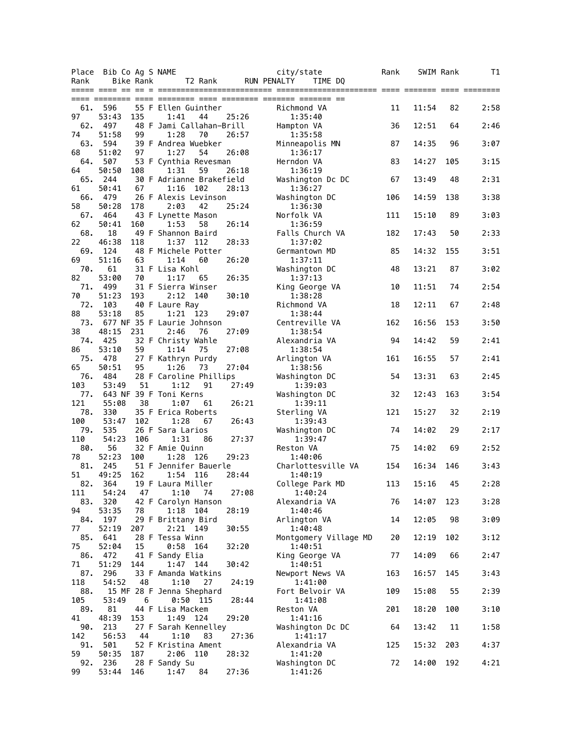| Place      | Bib Co Ag S NAME                |           |                                 |            |    |       |                    | city/state                       | Rank | SWIM Rank |     | Τ1   |
|------------|---------------------------------|-----------|---------------------------------|------------|----|-------|--------------------|----------------------------------|------|-----------|-----|------|
| Rank       |                                 | Bike Rank |                                 | T2 Rank    |    |       | <b>RUN PENALTY</b> | TIME DQ                          |      |           |     |      |
|            |                                 |           |                                 |            |    |       |                    |                                  |      |           |     |      |
| 61.        | 596                             |           | 55 F Ellen Guinther             |            |    |       |                    | Richmond VA                      | 11   | 11:54     | 82  | 2:58 |
| 97         | 53:43                           | 135       | 1:41                            |            | 44 | 25:26 |                    | 1:35:40                          |      |           |     |      |
| 62.        | 497                             |           | 48 F Jami Callahan-Brill        |            |    |       |                    | Hampton VA                       | 36   | 12:51     | 64  | 2:46 |
| 74<br>63.  | 51:58<br>594                    | 99        | 1:28<br>39 F Andrea Wuebker     |            | 70 | 26:57 |                    | 1:35:58                          | 87   | 14:35     | 96  | 3:07 |
| 68         | 51:02                           | 97        | 1:27                            |            | 54 | 26:08 |                    | Minneapolis MN<br>1:36:17        |      |           |     |      |
| 64.        | 507                             |           | 53 F Cynthia Revesman           |            |    |       |                    | Herndon VA                       | 83   | 14:27     | 105 | 3:15 |
| 64         | 50:50                           | 108       | 1:31                            |            | 59 | 26:18 |                    | 1:36:19                          |      |           |     |      |
| 65.        | 244                             |           | 30 F Adrianne Brakefield        |            |    |       |                    | Washington Dc DC                 | 67   | 13:49     | 48  | 2:31 |
| 61<br>66.  | 50:41<br>479                    | 67        | 1:16<br>26 F Alexis Levinson    | 102        |    | 28:13 |                    | 1:36:27<br>Washington DC         | 106  | 14:59     | 138 | 3:38 |
| 58         | 50:28                           | 178       | 2:03                            |            | 42 | 25:24 |                    | 1:36:30                          |      |           |     |      |
| 67.        | 464                             |           | 43 F Lynette Mason              |            |    |       |                    | Norfolk VA                       | 111  | 15:10     | 89  | 3:03 |
| 62         | 50:41                           | 160       | 1:53                            |            | 58 | 26:14 |                    | 1:36:59                          |      |           |     |      |
| 68.        | 18<br>46:38                     | 118       | 49 F Shannon Baird<br>1:37      | 112        |    | 28:33 |                    | Falls Church VA<br>1:37:02       | 182  | 17:43     | 50  | 2:33 |
| 22<br>69.  | 124                             |           | 48 F Michele Potter             |            |    |       |                    | Germantown MD                    | 85   | 14:32     | 155 | 3:51 |
| 69         | 51:16                           | 63        | 1:14                            |            | 60 | 26:20 |                    | 1:37:11                          |      |           |     |      |
| 70.        | 61                              |           | 31 F Lisa Kohl                  |            |    |       |                    | Washington DC                    | 48   | 13:21     | 87  | 3:02 |
| 82         | 53:00                           | 70        | 1:17                            |            | 65 | 26:35 |                    | 1:37:13                          |      |           |     |      |
| 71.<br>70  | 499<br>51:23                    | 193       | 31 F Sierra Winser<br>2:12      | 140        |    | 30:10 |                    | King George VA<br>1:38:28        | 10   | 11:51     | 74  | 2:54 |
| 72.        | 103                             |           | 40 F Laure Ray                  |            |    |       |                    | Richmond VA                      | 18   | 12:11     | 67  | 2:48 |
| 88         | 53:18                           | 85        |                                 | 1:21 123   |    | 29:07 |                    | 1:38:44                          |      |           |     |      |
| 73.        | 677 NF 35 F Laurie Johnson      |           |                                 |            |    |       |                    | Centreville VA                   | 162  | 16:56     | 153 | 3:50 |
| 38         | 48:15                           | 231       | 2:46                            |            | 76 | 27:09 |                    | 1:38:54                          |      |           |     |      |
| 74.<br>86  | 425<br>53:10                    | 59        | 32 F Christy Wahle<br>1:14      |            | 75 | 27:08 |                    | Alexandria VA<br>1:38:54         | 94   | 14:42     | 59  | 2:41 |
| 75.        | 478                             |           | 27 F Kathryn Purdy              |            |    |       |                    | Arlington VA                     | 161  | 16:55     | 57  | 2:41 |
| 65         | 50:51                           | 95        | 1:26                            |            | 73 | 27:04 |                    | 1:38:56                          |      |           |     |      |
| 76.        | 484                             |           | 28 F Caroline Phillips          |            |    |       |                    | Washington DC                    | 54   | 13:31     | 63  | 2:45 |
| 103<br>77. | 53:49<br>643 NF 39 F Toni Kerns | 51        |                                 | 1:12       | 91 | 27:49 |                    | 1:39:03<br>Washington DC         | 32   | 12:43     | 163 | 3:54 |
| 121        | 55:08                           | 38        |                                 | 1:07       | 61 | 26:21 |                    | 1:39:11                          |      |           |     |      |
| 78.        | 330                             |           | 35 F Erica Roberts              |            |    |       |                    | Sterling VA                      | 121  | 15:27     | 32  | 2:19 |
| 100        | 53:47                           | 102       |                                 | 1:28       | 67 | 26:43 |                    | 1:39:43                          |      |           |     |      |
| 79.<br>110 | 535<br>54:23                    | 106       | 26 F Sara Larios                | 1:31       |    | 27:37 |                    | Washington DC                    | 74   | 14:02     | 29  | 2:17 |
| 80.        | 56                              |           | 32 F Amie Quinn                 |            | 86 |       |                    | 1:39:47<br>Reston VA             | 75   | 14:02     | 69  | 2:52 |
| 78         | 52:23                           | 100       | 1:28                            | 126        |    | 29:23 |                    | 1:40:06                          |      |           |     |      |
| 81.        | 245                             |           | 51 F Jennifer Bauerle           |            |    |       |                    | Charlottesville VA               | 154  | 16:34     | 146 | 3:43 |
| 51         | 49:25                           | 162       | 1:54                            | 116        |    | 28:44 |                    | 1:40:19                          |      |           |     |      |
| 82.<br>111 | 364<br>54:24                    |           | 19 F Laura Miller<br>47 1:10 74 |            |    | 27:08 |                    | College Park MD<br>1:40:24       | 113  | 15:16     | 45  | 2:28 |
| 83.        | 320                             |           | 42 F Carolyn Hanson             |            |    |       |                    | Alexandria VA                    | 76   | 14:07     | 123 | 3:28 |
| 94         | 53:35                           | 78        |                                 | 1:18 104   |    | 28:19 |                    | 1:40:46                          |      |           |     |      |
| 84.        | 197                             |           | 29 F Brittany Bird              |            |    |       |                    | Arlington VA                     | 14   | 12:05     | 98  | 3:09 |
| 77<br>85.  | 52:19<br>641                    | 207       | 28 F Tessa Winn                 | 2:21 149   |    | 30:55 |                    | 1:40:48<br>Montgomery Village MD | 20   | 12:19     | 102 | 3:12 |
| 75         | 52:04                           | 15        |                                 | $0:58$ 164 |    | 32:20 |                    | 1:40:51                          |      |           |     |      |
| 86.        | 472                             |           | 41 F Sandy Elia                 |            |    |       |                    | King George VA                   | 77   | 14:09     | 66  | 2:47 |
| 71         | 51:29                           | 144       |                                 | 1:47 144   |    | 30:42 |                    | 1:40:51                          |      |           |     |      |
| 87.        | 296<br>54:52                    |           | 33 F Amanda Watkins             |            |    |       |                    | Newport News VA                  | 163  | 16:57     | 145 | 3:43 |
| 118<br>88. |                                 | 48        | 15 MF 28 F Jenna Shephard       | 1:10       | 27 | 24:19 |                    | 1:41:00<br>Fort Belvoir VA       | 109  | 15:08     | 55  | 2:39 |
| 105        | 53:49                           | 6         |                                 | 0:50 115   |    | 28:44 |                    | 1:41:08                          |      |           |     |      |
| 89.        | 81                              |           | 44 F Lisa Mackem                |            |    |       |                    | Reston VA                        | 201  | 18:20     | 100 | 3:10 |
| 41         | 48:39                           | 153       |                                 | 1:49 124   |    | 29:20 |                    | 1:41:16                          |      |           |     |      |
| 90.<br>142 | 213<br>56:53                    | 44        | 27 F Sarah Kennelley            | 1:10       | 83 | 27:36 |                    | Washington Dc DC<br>1:41:17      | 64   | 13:42     | 11  | 1:58 |
| 91.        | 501                             |           | 52 F Kristina Ament             |            |    |       |                    | Alexandria VA                    | 125  | 15:32     | 203 | 4:37 |
| 59         | 50:35                           | 187       |                                 | 2:06 110   |    | 28:32 |                    | 1:41:20                          |      |           |     |      |
| 92.        | 236                             |           | 28 F Sandy Su                   |            |    |       |                    | Washington DC                    | 72   | 14:00     | 192 | 4:21 |
| 99         | 53:44                           | 146       | 1:47                            | 84         |    | 27:36 |                    | 1:41:26                          |      |           |     |      |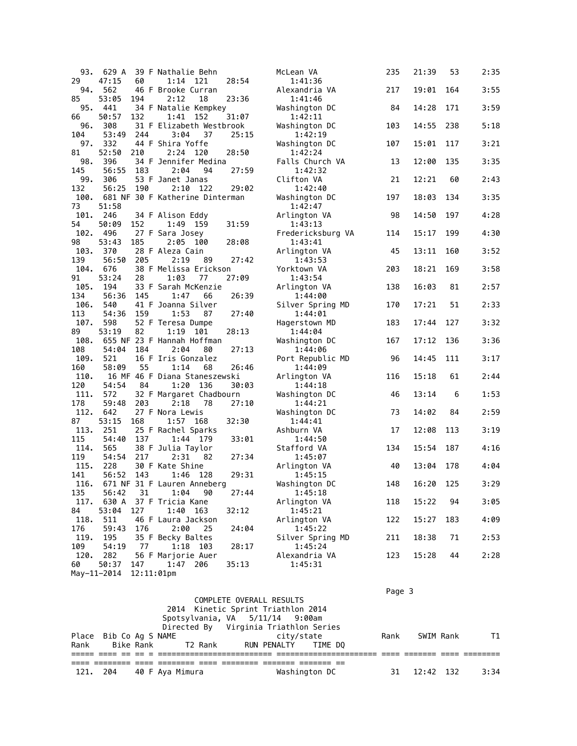| 93.  | 629 A                     | 39 F Nathalie Behn              |       | McLean VA         | 235 | 21:39 | 53  | 2:35 |
|------|---------------------------|---------------------------------|-------|-------------------|-----|-------|-----|------|
| 29   | 47:15<br>60               | 1:14<br>121                     | 28:54 | 1:41:36           |     |       |     |      |
| 94.  | 562                       | 46 F Brooke Curran              |       | Alexandria VA     | 217 | 19:01 | 164 | 3:55 |
| 85   | 53:05<br>194              | 2:12<br>18                      | 23:36 | 1:41:46           |     |       |     |      |
| 95.  | 441                       | 34 F Natalie Kempkey            |       | Washington DC     | 84  | 14:28 | 171 | 3:59 |
| 66   | 50:57<br>132              | 1:41<br>152                     | 31:07 | 1:42:11           |     |       |     |      |
| 96.  | 308                       | 31 F Elizabeth Westbrook        |       | Washington DC     | 103 | 14:55 | 238 | 5:18 |
| 104  | 53:49<br>244              | 3:04<br>37                      | 25:15 | 1:42:19           |     |       |     |      |
| 97.  | 332                       | 44 F Shira Yoffe                |       | Washington DC     | 107 | 15:01 | 117 | 3:21 |
| 81   | 52:50<br>210              | 2:24 120                        | 28:50 | 1:42:24           |     |       |     |      |
| 98.  | 396                       | 34 F Jennifer Medina            |       | Falls Church VA   | 13  | 12:00 | 135 | 3:35 |
| 145  | 56:55<br>183              | 2:04<br>94                      | 27:59 | 1:42:32           |     |       |     |      |
| 99.  | 306                       | 53 F Janet Janas                |       | Clifton VA        | 21  | 12:21 | 60  | 2:43 |
| 132  | 56:25<br>190              | $2:10$ 122                      | 29:02 | 1:42:40           |     |       |     |      |
| 100. |                           | 681 NF 30 F Katherine Dinterman |       | Washington DC     | 197 | 18:03 | 134 | 3:35 |
| 73   | 51:58                     |                                 |       | 1:42:47           |     |       |     |      |
| 101. | 246                       | 34 F Alison Eddy                |       | Arlington VA      | 98  | 14:50 | 197 | 4:28 |
| 54   | 50:09<br>152              | 1:49 159                        | 31:59 | 1:43:13           |     |       |     |      |
| 102. | 496                       | 27 F Sara Josey                 |       | Fredericksburg VA | 114 | 15:17 | 199 | 4:30 |
| 98   | 53:43<br>185              | 2:05<br>100                     | 28:08 | 1:43:41           |     |       |     |      |
| 103. | 370                       | 28 F Aleza Cain                 |       | Arlington VA      | 45  | 13:11 | 160 | 3:52 |
| 139  | 56:50<br>205              | 2:19<br>89                      | 27:42 | 1:43:53           |     |       |     |      |
| 104. | 676                       | 38 F Melissa Erickson           |       | Yorktown VA       | 203 | 18:21 | 169 | 3:58 |
| 91   | 53:24<br>28               | 1:03<br>77                      | 27:09 | 1:43:54           |     |       |     |      |
| 105. | 194                       | 33 F Sarah McKenzie             |       | Arlington VA      | 138 | 16:03 | 81  | 2:57 |
| 134  | 56:36<br>145              | 1:47<br>66                      | 26:39 | 1:44:00           |     |       |     |      |
| 106. | 540                       | 41 F Joanna Silver              |       | Silver Spring MD  | 170 | 17:21 | 51  | 2:33 |
| 113  | 159<br>54:36              | 1:53<br>87                      | 27:40 | 1:44:01           |     |       |     |      |
| 107. | 598                       | 52 F Teresa Dumpe               |       | Hagerstown MD     | 183 | 17:44 | 127 | 3:32 |
| 89   | 53:19<br>82               | 1:19<br>101                     | 28:13 | 1:44:04           |     |       |     |      |
| 108. |                           | 655 NF 23 F Hannah Hoffman      |       | Washington DC     | 167 | 17:12 | 136 | 3:36 |
| 108  | 54:04<br>184              | 2:04<br>80                      | 27:13 | 1:44:06           |     |       |     |      |
| 109. | 521                       | 16 F Iris Gonzalez              |       | Port Republic MD  | 96  | 14:45 | 111 | 3:17 |
| 160  | 58:09<br>55               | 1:14<br>68                      | 26:46 | 1:44:09           |     |       |     |      |
| 110. |                           | 16 MF 46 F Diana Staneszewski   |       | Arlington VA      | 116 | 15:18 | 61  | 2:44 |
| 120  | 54:54<br>84               | 1:20<br>136                     | 30:03 | 1:44:18           |     |       |     |      |
| 111. | 572                       | 32 F Margaret Chadbourn         |       | Washington DC     | 46  | 13:14 | 6   | 1:53 |
| 178  | 59:48<br>203              | 2:18<br>78                      | 27:10 | 1:44:21           |     |       |     |      |
| 112. | 642                       | 27 F Nora Lewis                 |       | Washington DC     | 73  | 14:02 | 84  | 2:59 |
| 87   | 53:15<br>168              | 1:57 168                        | 32:30 | 1:44:41           |     |       |     |      |
| 113. | 251                       | 25 F Rachel Sparks              |       | Ashburn VA        | 17  | 12:08 | 113 | 3:19 |
| 115  | 54:40<br>137              | 1:44 179                        | 33:01 | 1:44:50           |     |       |     |      |
| 114. | 565                       | 38 F Julia Taylor               |       | Stafford VA       | 134 | 15:54 | 187 | 4:16 |
| 119  | 54:54<br>217              | 2:31<br>82                      | 27:34 | 1:45:07           |     |       |     |      |
| 115. | 228                       | 30 F Kate Shine                 |       | Arlington VA      | 40  | 13:04 | 178 | 4:04 |
| 141  | 56:52<br>143              | 1:46<br>128                     | 29:31 | 1:45:15           |     |       |     |      |
| 116. |                           | 671 NF 31 F Lauren Anneberg     |       | Washington DC     | 148 | 16:20 | 125 | 3:29 |
| 135  | 56:42<br>31               | 1:04<br>90                      | 27:44 | 1:45:18           |     |       |     |      |
| 117. |                           | 630 A 37 F Tricia Kane          |       | Arlington VA      | 118 | 15:22 | 94  | 3:05 |
| 84   | 53:04<br>127              | $1:40$ 163                      | 32:12 | 1:45:21           |     |       |     |      |
| 118. | 511                       | 46 F Laura Jackson              |       | Arlington VA      | 122 | 15:27 | 183 | 4:09 |
| 176  | 59:43<br>176              | 2:00<br>25                      | 24:04 | 1:45:22           |     |       |     |      |
| 119. | 195                       | 35 F Becky Baltes               |       | Silver Spring MD  | 211 | 18:38 | 71  | 2:53 |
| 109  | 54:19<br>77               | 1:18 103                        | 28:17 | 1:45:24           |     |       |     |      |
| 120. | 282                       | 56 F Marjorie Auer              |       | Alexandria VA     | 123 | 15:28 | 44  | 2:28 |
| 60   | 50:37<br>147              | 1:47 206                        | 35:13 | 1:45:31           |     |       |     |      |
|      | May-11-2014<br>12:11:01pm |                                 |       |                   |     |       |     |      |
|      |                           |                                 |       |                   |     |       |     |      |

|      |                        |                        |                                       |               | Page 3 |           |      |
|------|------------------------|------------------------|---------------------------------------|---------------|--------|-----------|------|
|      |                        |                        | COMPLETE OVERALL RESULTS              |               |        |           |      |
|      |                        |                        | 2014 Kinetic Sprint Triathlon 2014    |               |        |           |      |
|      |                        |                        | Spotsylvania, VA 5/11/14 9:00am       |               |        |           |      |
|      |                        |                        | Directed By Virginia Triathlon Series |               |        |           |      |
|      | Place Bib Co Ag S NAME |                        | city/state                            |               | Rank   | SWIM Rank | T1   |
|      |                        | Rank Bike Rank T2 Rank | RUN PENALTY – TIME DO                 |               |        |           |      |
|      |                        |                        |                                       |               |        |           |      |
|      |                        |                        |                                       |               |        |           |      |
| 121. | 204                    | 40 F Aya Mimura        |                                       | Washington DC | 31     | 12:42 132 | 3:34 |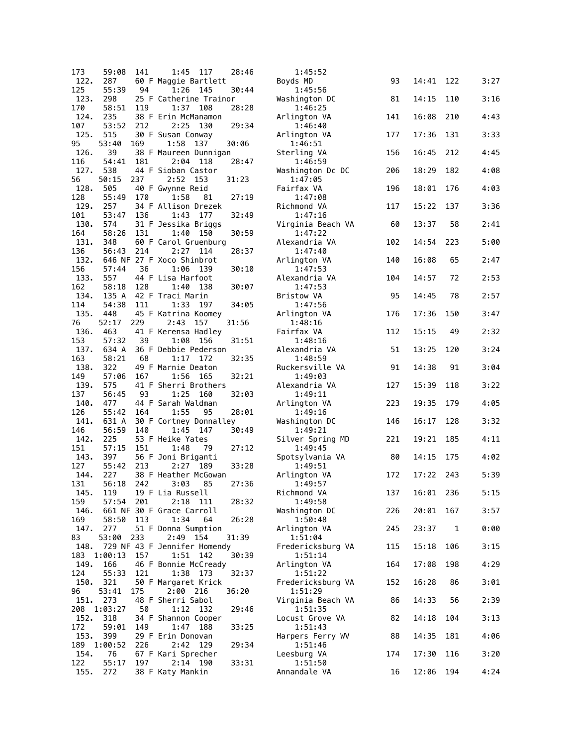| 173         | 59:08             | 141 | 28:46<br>1:45<br>117                           | 1:45:52                      |     |       |     |      |
|-------------|-------------------|-----|------------------------------------------------|------------------------------|-----|-------|-----|------|
| 122.        | 287               |     | 60 F Maggie Bartlett                           | Boyds MD                     | 93  | 14:41 | 122 | 3:27 |
| 125         | 55:39             | 94  | 1:26<br>30:44<br>145                           | 1:45:56                      |     |       |     |      |
| 123.        | 298               |     | 25 F Catherine Trainor                         | Washington DC                | 81  | 14:15 | 110 | 3:16 |
| 170<br>124. | 58:51<br>235      | 119 | 1:37<br>28:28<br>108<br>38 F Erin McManamon    | 1:46:25<br>Arlington VA      | 141 | 16:08 | 210 | 4:43 |
| 107         | 53:52             | 212 | 2:25<br>29:34<br>130                           | 1:46:40                      |     |       |     |      |
| 125.        | 515               |     | 30 F Susan Conway                              | Arlington VA                 | 177 | 17:36 | 131 | 3:33 |
| 95          | 53:40             | 169 | 1:58<br>137<br>30:06                           | 1:46:51                      |     |       |     |      |
| 126.        | 39                |     | 38 F Maureen Dunnigan                          | Sterling VA                  | 156 | 16:45 | 212 | 4:45 |
| 116         | 54:41             | 181 | 2:04<br>118<br>28:47                           | 1:46:59                      |     |       |     |      |
| 127.<br>56  | 538               | 237 | 44 F Sioban Castor<br>2:52<br>- 153            | Washington Dc DC             | 206 | 18:29 | 182 | 4:08 |
| 128.        | 50:15<br>505      |     | 31:23<br>40 F Gwynne Reid                      | 1:47:05<br>Fairfax VA        | 196 | 18:01 | 176 | 4:03 |
| 128         | 55:49             | 170 | 1:58<br>81<br>27:19                            | 1:47:08                      |     |       |     |      |
| 129.        | 257               |     | 34 F Allison Drezek                            | Richmond VA                  | 117 | 15:22 | 137 | 3:36 |
| 101         | 53:47             | 136 | 1:43<br>32:49<br>177                           | 1:47:16                      |     |       |     |      |
| 130.        | 574               |     | 31 F Jessika Briggs                            | Virginia Beach VA            | 60  | 13:37 | 58  | 2:41 |
| 164<br>131. | 58:26<br>348      | 131 | 1:40<br>150<br>30:59<br>60 F Carol Gruenburg   | 1:47:22<br>Alexandria VA     | 102 | 14:54 | 223 | 5:00 |
| 136         | 56:43             | 214 | 2:27<br>28:37<br>114                           | 1:47:40                      |     |       |     |      |
| 132.        |                   |     | 646 NF 27 F Xoco Shinbrot                      | Arlington VA                 | 140 | 16:08 | 65  | 2:47 |
| 156         | 57:44             | 36  | 1:06<br>139<br>30:10                           | 1:47:53                      |     |       |     |      |
| 133.        | 557               |     | 44 F Lisa Harfoot                              | Alexandria VA                | 104 | 14:57 | 72  | 2:53 |
| 162         | 58:18             | 128 | 1:40<br>138<br>30:07                           | 1:47:53                      |     |       |     |      |
| 134.<br>114 | 135 A<br>54:38    | 111 | 42 F Traci Marin<br>1:33<br>197<br>34:05       | <b>Bristow VA</b><br>1:47:56 | 95  | 14:45 | 78  | 2:57 |
| 135.        | 448               |     | 45 F Katrina Koomey                            | Arlington VA                 | 176 | 17:36 | 150 | 3:47 |
| 76          | 52:17             | 229 | 31:56<br>2:43<br>157                           | 1:48:16                      |     |       |     |      |
| 136.        | 463               |     | 41 F Kerensa Hadley                            | Fairfax VA                   | 112 | 15:15 | 49  | 2:32 |
| 153         | 57:32             | 39  | 1:08<br>156<br>31:51                           | 1:48:16                      |     |       |     |      |
| 137.        | 634 A             |     | 36 F Debbie Pederson                           | Alexandria VA                | 51  | 13:25 | 120 | 3:24 |
| 163<br>138. | 58:21<br>322      | 68  | 1:17<br>172<br>32:35<br>49 F Marnie Deaton     | 1:48:59<br>Ruckersville VA   | 91  | 14:38 | 91  | 3:04 |
| 149         | 57:06             | 167 | 32:21<br>1:56<br>165                           | 1:49:03                      |     |       |     |      |
| 139.        | 575               |     | 41 F Sherri Brothers                           | Alexandria VA                | 127 | 15:39 | 118 | 3:22 |
| 137         | 56:45             | 93  | 1:25<br>160<br>32:03                           | 1:49:11                      |     |       |     |      |
| 140.        | 477               |     | 44 F Sarah Waldman                             | Arlington VA                 | 223 | 19:35 | 179 | 4:05 |
| 126         | 55:42             | 164 | 1:55<br>95<br>28:01                            | 1:49:16                      |     | 16:17 | 128 | 3:32 |
| 141.<br>146 | 631 A<br>56:59    | 140 | 30 F Cortney Donnalley<br>30:49<br>1:45<br>147 | Washington DC<br>1:49:21     | 146 |       |     |      |
| 142.        | 225               |     | 53 F Heike Yates                               | Silver Spring MD             | 221 | 19:21 | 185 | 4:11 |
| 151         | 57:15             | 151 | 1:48<br>79<br>27:12                            | 1:49:45                      |     |       |     |      |
| 143.        | 397               |     | 56 F Joni Briganti                             | Spotsylvania VA              | 80  | 14:15 | 175 | 4:02 |
| 127         | 55:42             | 213 | 2:27<br>33:28<br>189                           | 1:49:51                      |     |       |     |      |
| 144.<br>131 | 227<br>56:18      | 242 | 38 F Heather McGowan<br>3:03<br>85<br>27:36    | Arlington VA<br>1:49:57      | 172 | 17:22 | 243 | 5:39 |
| 145.        |                   |     | 119 19 F Lia Russell                           | Richmond VA                  | 137 | 16:01 | 236 | 5:15 |
| 159         | 57:54 201         |     | 2:18 111<br>28:32                              | 1:49:58                      |     |       |     |      |
| 146.        |                   |     | 661 NF 30 F Grace Carroll                      | Washington DC                | 226 | 20:01 | 167 | 3:57 |
| 169         | 58:50             | 113 | 1:34<br>26:28<br>64                            | 1:50:48                      |     |       |     |      |
| 147.        | 277<br>53:00      |     | 51 F Donna Sumption<br>2:49 154<br>31:39       | Arlington VA                 | 245 | 23:37 | 1   | 0:00 |
| 83<br>148.  |                   | 233 | 729 NF 43 F Jennifer Homendy                   | 1:51:04<br>Fredericksburg VA | 115 | 15:18 | 106 | 3:15 |
| 183         | 1:00:13           | 157 | 1:51<br>142<br>30:39                           | 1:51:14                      |     |       |     |      |
| 149.        | 166               |     | 46 F Bonnie McCready                           | Arlington VA                 | 164 | 17:08 | 198 | 4:29 |
| 124         | 55:33             | 121 | 32:37<br>1:38 173                              | 1:51:22                      |     |       |     |      |
| 150.        | 321               |     | 50 F Margaret Krick                            | Fredericksburg VA            | 152 | 16:28 | 86  | 3:01 |
| 96<br>151.  | 53:41<br>273      | 175 | 2:00 216<br>36:20<br>48 F Sherri Sabol         | 1:51:29<br>Virginia Beach VA | 86  | 14:33 | 56  | 2:39 |
| 208         | 1:03:27           | 50  | 1:12 132<br>29:46                              | 1:51:35                      |     |       |     |      |
| 152.        | 318               |     | 34 F Shannon Cooper                            | Locust Grove VA              | 82  | 14:18 | 104 | 3:13 |
| 172         | 59:01             | 149 | 1:47<br>188<br>33:25                           | 1:51:43                      |     |       |     |      |
| 153.        | 399               |     | 29 F Erin Donovan                              | Harpers Ferry WV             | 88  | 14:35 | 181 | 4:06 |
| 154.        | 189 1:00:52<br>76 | 226 | 29:34<br>2:42 129<br>67 F Kari Sprecher        | 1:51:46<br>Leesburg VA       | 174 | 17:30 | 116 | 3:20 |
| 122         | 55:17             | 197 | 33:31<br>2:14 190                              | 1:51:50                      |     |       |     |      |
| 155.        | 272               |     | 38 F Katy Mankin                               | Annandale VA                 | 16  | 12:06 | 194 | 4:24 |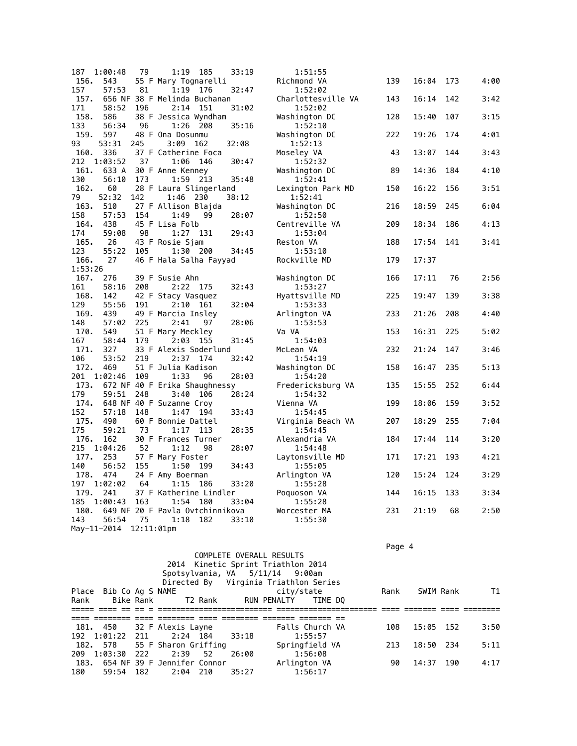| 187         | 1:00:48        | 79            |                                 | 1:19 185   | 33:19 | 1:51:55                  |     |       |     |      |
|-------------|----------------|---------------|---------------------------------|------------|-------|--------------------------|-----|-------|-----|------|
| 156.        | 543            |               | 55 F Mary Tognarelli            |            |       | Richmond VA              | 139 | 16:04 | 173 | 4:00 |
| 157         | 57:53          | 81            | 1:19                            | 176        | 32:47 | 1:52:02                  |     |       |     |      |
| 157.        |                |               | 656 NF 38 F Melinda Buchanan    |            |       | Charlottesville VA       | 143 | 16:14 | 142 | 3:42 |
| 171         | 58:52          | 196           | 2:14                            | 151        | 31:02 | 1:52:02                  |     |       |     |      |
| 158.        | 586            |               | 38 F Jessica Wyndham            |            |       | Washington DC            | 128 | 15:40 | 107 | 3:15 |
| 133         | 56:34          | 96            |                                 | 1:26 208   | 35:16 | 1:52:10                  |     |       |     |      |
| 159.        | 597            |               | 48 F Ona Dosunmu                |            |       | Washington DC            | 222 | 19:26 | 174 | 4:01 |
| 93          | 53:31          | 245           | 3:09 162                        |            | 32:08 | 1:52:13                  |     |       |     |      |
| 160.        | 336            |               | 37 F Catherine Foca             |            |       | Moseley VA               | 43  | 13:07 | 144 | 3:43 |
| 212         | 1:03:52        | 37            |                                 | 1:06 146   | 30:47 | 1:52:32                  |     |       |     |      |
| 161.        | 633 A          |               | 30 F Anne Kenney                |            |       | Washington DC            | 89  | 14:36 | 184 | 4:10 |
| 130         | 56:10          | 173           |                                 | 1:59 213   | 35:48 | 1:52:41                  |     |       |     |      |
| 162.        | 60             |               | 28 F Laura Slingerland          |            |       | Lexington Park MD        | 150 | 16:22 | 156 | 3:51 |
| 79          | 52:32          | 142           | 1:46 230                        |            | 38:12 | 1:52:41                  |     |       |     |      |
| 163.        | 510            |               | 27 F Allison Blajda             |            |       | Washington DC            | 216 | 18:59 | 245 | 6:04 |
| 158         | 57:53          | 154           | 1:49                            | 99         | 28:07 | 1:52:50                  |     |       |     |      |
| 164.        | 438            |               | 45 F Lisa Folb                  |            |       | Centreville VA           | 209 | 18:34 | 186 | 4:13 |
| 174         | 59:08          | 98            |                                 | 1:27 131   | 29:43 | 1:53:04                  |     |       |     |      |
| 165.        | 26             |               | 43 F Rosie Sjam                 |            |       | Reston VA                | 188 | 17:54 | 141 | 3:41 |
| 123         | 55:22          | 105           | 1:30                            | 200        | 34:45 | 1:53:10                  |     |       |     |      |
| 166.        | 27             |               | 46 F Hala Salha Fayyad          |            |       | Rockville MD             | 179 | 17:37 |     |      |
| 1:53:26     |                |               |                                 |            |       |                          |     |       |     |      |
| 167.        | 276            |               | 39 F Susie Ahn                  |            |       | Washington DC            | 166 | 17:11 | 76  | 2:56 |
| 161         | 58:16          | 208           |                                 | 2:22 175   | 32:43 | 1:53:27                  |     |       |     |      |
| 168.        | 142            |               | 42 F Stacy Vasquez              |            |       | Hyattsville MD           | 225 | 19:47 | 139 | 3:38 |
| 129         | 55:56          | 191           |                                 | $2:10$ 161 | 32:04 | 1:53:33                  |     |       |     |      |
| 169.        | 439            |               | 49 F Marcia Insley              |            |       |                          | 233 | 21:26 | 208 |      |
| 148         | 57:02          | 225           | 2:41                            | 97         | 28:06 | Arlington VA<br>1:53:53  |     |       |     | 4:40 |
| 170.        | 549            |               |                                 |            |       |                          |     | 16:31 | 225 | 5:02 |
| 167         | 58:44          | 179           | 51 F Mary Meckley               |            | 31:45 | Va VA                    | 153 |       |     |      |
| 171.        | 327            |               | 33 F Alexis Soderlund           | 2:03 155   |       | 1:54:03<br>McLean VA     | 232 | 21:24 | 147 | 3:46 |
|             |                |               |                                 |            |       |                          |     |       |     |      |
| 106         | 53:52          | 219           | 2:37                            | 174        | 32:42 | 1:54:19                  |     |       |     |      |
| 172.<br>201 | 469<br>1:02:46 | 109           | 51 F Julia Kadison<br>1:33      | 96         | 28:03 | Washington DC<br>1:54:20 | 158 | 16:47 | 235 | 5:13 |
|             |                |               |                                 |            |       |                          |     |       |     |      |
| 173.<br>179 |                |               | 672 NF 40 F Erika Shaughnessy   |            |       | Fredericksburg VA        | 135 | 15:55 | 252 | 6:44 |
| 174.        | 59:51          | 248           | 3:40                            | 106        | 28:24 | 1:54:32                  |     | 18:06 | 159 |      |
|             |                |               | 648 NF 40 F Suzanne Croy        |            |       | Vienna VA                | 199 |       |     | 3:52 |
| 152<br>175. | 57:18<br>490   | 148           |                                 | $1:47$ 194 | 33:43 | 1:54:45                  |     |       | 255 | 7:04 |
|             |                |               | 60 F Bonnie Dattel              |            |       | Virginia Beach VA        | 207 | 18:29 |     |      |
| 175         | 59:21          | 73            | 1:17                            | 113        | 28:35 | 1:54:45                  |     |       |     |      |
| 176.        | 162            |               | 30 F Frances Turner             |            |       | Alexandria VA            | 184 | 17:44 | 114 | 3:20 |
| 215         | 1:04:26        | 52            | 1:12                            | 98         | 28:07 | 1:54:48                  |     |       |     |      |
| 177.        | 253            |               | 57 F Mary Foster                |            |       | Laytonsville MD          | 171 | 17:21 | 193 | 4:21 |
| 140         | 56:52          | 155           |                                 | 1:50 199   | 34:43 | 1:55:05                  |     |       |     |      |
| 178.        | 474            |               | 24 F Amy Boerman                |            |       | Arlington VA             | 120 | 15:24 | 124 | 3:29 |
| 197         | 1:02:02        | 64            | 1:15                            | 186        | 33:20 | 1:55:28                  |     |       |     |      |
| 179.        | 241            |               | 37 F Katherine Lindler          |            |       | Poguoson VA              | 144 | 16:15 | 133 | 3:34 |
| 185         | 1:00:43        | 163           | 1:54                            | 180        | 33:04 | 1:55:28                  |     |       |     |      |
| 180.        |                |               | 649 NF 20 F Pavla Ovtchinnikova |            |       | Worcester MA             | 231 | 21:19 | 68  | 2:50 |
| 143         | 56:54          | 75            | 1:18                            | 182        | 33:10 | 1:55:30                  |     |       |     |      |
|             | May-11-2014    | $12:11:01$ pm |                                 |            |       |                          |     |       |     |      |

en de la provincia de la provincia de la provincia de la provincia de la provincia de la provincia de la provi

|      |                        |                                  |         |       | COMPLETE OVERALL RESULTS              |                 |      |           |     |      |
|------|------------------------|----------------------------------|---------|-------|---------------------------------------|-----------------|------|-----------|-----|------|
|      |                        |                                  |         |       | 2014 Kinetic Sprint Triathlon 2014    |                 |      |           |     |      |
|      |                        |                                  |         |       | Spotsylvania, VA 5/11/14 9:00am       |                 |      |           |     |      |
|      |                        |                                  |         |       | Directed By Virginia Triathlon Series |                 |      |           |     |      |
|      | Place Bib Co Ag S NAME |                                  |         |       | city/state                            |                 | Rank | SWIM Rank |     | T1   |
| Rank | Bike Rank              |                                  | T2 Rank |       | RUN PENALTY                           | TIME DO         |      |           |     |      |
|      |                        |                                  |         |       |                                       |                 |      |           |     |      |
|      |                        |                                  |         |       |                                       |                 |      |           |     |      |
|      |                        | 181. 450 32 F Alexis Layne       |         |       |                                       | Falls Church VA | 108  | 15:05 152 |     | 3:50 |
|      | 192 1:01:22 211        | 2:24 184 33:18                   |         |       |                                       | 1:55:57         |      |           |     |      |
|      |                        | 182. 578 55 F Sharon Griffing    |         |       |                                       | Springfield VA  | 213  | 18:50 234 |     | 5:11 |
|      | 209 1:03:30 222        | 2:39                             | 52      | 26:00 |                                       | 1:56:08         |      |           |     |      |
|      |                        | 183. 654 NF 39 F Jennifer Connor |         |       | Arlington VA                          |                 | 90   | 14:37     | 190 | 4:17 |
| 180  | 59:54 182              | 2:04 210                         |         | 35:27 |                                       | 1:56:17         |      |           |     |      |
|      |                        |                                  |         |       |                                       |                 |      |           |     |      |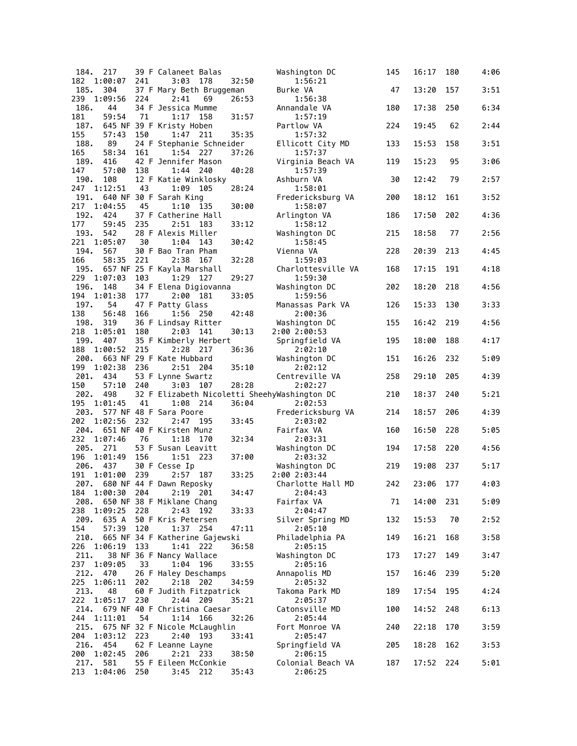| 184.        | 217            |     | 39 F Calaneet Balas                            |       | Washington DC                                | 145 | 16:17 | 180 | 4:06 |
|-------------|----------------|-----|------------------------------------------------|-------|----------------------------------------------|-----|-------|-----|------|
| 182         | 1:00:07        | 241 | 3:03<br>178                                    | 32:50 | 1:56:21                                      |     |       |     |      |
| 185.        | 304            |     | 37 F Mary Beth Bruggeman                       |       | Burke VA                                     | 47  | 13:20 | 157 | 3:51 |
| 239<br>186. | 1:09:56<br>44  | 224 | 2:41<br>69<br>34 F Jessica Mumme               | 26:53 | 1:56:38<br>Annandale VA                      | 180 | 17:38 | 250 | 6:34 |
| 181         | 59:54          | 71  | 1:17<br>158                                    | 31:57 | 1:57:19                                      |     |       |     |      |
| 187.        |                |     | 645 NF 39 F Kristy Hoben                       |       | Partlow VA                                   | 224 | 19:45 | 62  | 2:44 |
| 155         | 57:43          | 150 | 1:47<br>211                                    | 35:35 | 1:57:32                                      |     |       |     |      |
| 188.        | 89             |     | 24 F Stephanie Schneider                       |       | Ellicott City MD                             | 133 | 15:53 | 158 | 3:51 |
| 165         | 58:34          | 161 | 1:54<br>227                                    | 37:26 | 1:57:37                                      |     |       |     |      |
| 189.        | 416            |     | 42 F Jennifer Mason                            |       | Virginia Beach VA                            | 119 | 15:23 | 95  | 3:06 |
| 147         | 57:00          | 138 | 1:44<br>240                                    | 40:28 | 1:57:39                                      |     |       |     |      |
| 190.<br>247 | 108<br>1:12:51 | 43  | 12 F Katie Winklosky<br>1:09<br>105            | 28:24 | Ashburn VA<br>1:58:01                        | 30  | 12:42 | 79  | 2:57 |
| 191.        |                |     | 640 NF 30 F Sarah King                         |       | Fredericksburg VA                            | 200 | 18:12 | 161 | 3:52 |
| 217         | 1:04:55        | 45  | 1:10<br>135                                    | 30:00 | 1:58:07                                      |     |       |     |      |
| 192.        | 424            |     | 37 F Catherine Hall                            |       | Arlington VA                                 | 186 | 17:50 | 202 | 4:36 |
| 177         | 59:45          | 235 | 2:51<br>- 183                                  | 33:12 | 1:58:12                                      |     |       |     |      |
| 193.        | 542            |     | 28 F Alexis Miller                             |       | Washington DC                                | 215 | 18:58 | 77  | 2:56 |
| 221         | 1:05:07        | 30  | 1:04<br>143                                    | 30:42 | 1:58:45                                      |     |       |     |      |
| 194.        | 567            |     | 30 F Bao Tran Pham                             |       | Vienna VA                                    | 228 | 20:39 | 213 | 4:45 |
| 166<br>195. | 58:35          | 221 | 2:38<br>167<br>657 NF 25 F Kayla Marshall      | 32:28 | 1:59:03<br>Charlottesville VA                | 168 | 17:15 | 191 | 4:18 |
| 229         | 1:07:03        | 103 | 1:29<br>127                                    | 29:27 | 1:59:30                                      |     |       |     |      |
| 196.        | 148            |     | 34 F Elena Digiovanna                          |       | Washington DC                                | 202 | 18:20 | 218 | 4:56 |
| 194         | 1:01:38        | 177 | 2:00<br>181                                    | 33:05 | 1:59:56                                      |     |       |     |      |
| 197.        | 54             |     | 47 F Patty Glass                               |       | Manassas Park VA                             | 126 | 15:33 | 130 | 3:33 |
| 138         | 56:48          | 166 | 1:56<br>250                                    | 42:48 | 2:00:36                                      |     |       |     |      |
| 198.        | 319            |     | 36 F Lindsay Ritter                            |       | Washington DC                                | 155 | 16:42 | 219 | 4:56 |
| 218         | 1:05:01        | 180 | 2:03<br>141                                    | 30:13 | 2:00 2:00:53                                 |     |       |     |      |
| 199.        | 407            |     | 35 F Kimberly Herbert                          |       | Springfield VA                               | 195 | 18:00 | 188 | 4:17 |
| 188         | 1:00:52        | 215 | 2:28<br>217<br>663 NF 29 F Kate Hubbard        | 36:36 | 2:02:10                                      |     |       | 232 | 5:09 |
| 200.<br>199 | 1:02:38        | 236 | 2:51 204                                       | 35:10 | Washington DC<br>2:02:12                     | 151 | 16:26 |     |      |
| 201.        | 434            |     | 53 F Lynne Swartz                              |       | Centreville VA                               | 258 | 29:10 | 205 | 4:39 |
| 150         | 57:10          | 240 | 3:03<br>107                                    | 28:28 | 2:02:27                                      |     |       |     |      |
| 202.        | 498            |     |                                                |       | 32 F Elizabeth Nicoletti SheehyWashington DC | 210 | 18:37 | 240 | 5:21 |
|             |                |     |                                                |       |                                              |     |       |     |      |
| 195         | 1:01:45        | 41  | 1:08<br>214                                    | 36:04 | 2:02:53                                      |     |       |     |      |
| 203.        |                |     | 577 NF 48 F Sara Poore                         |       | Fredericksburg VA                            | 214 | 18:57 | 206 | 4:39 |
| 202         | 1:02:56        | 232 | 2:47<br>195                                    | 33:45 | 2:03:02                                      |     |       |     |      |
| 204.        |                |     | 651 NF 40 F Kirsten Munz                       |       | Fairfax VA                                   | 160 | 16:50 | 228 | 5:05 |
| 232         | 1:07:46        | 76  | 1:18<br>170                                    | 32:34 | 2:03:31                                      |     |       |     |      |
| 205.        | 271            |     | 53 F Susan Leavitt                             |       | Washington DC                                | 194 | 17:58 | 220 | 4:56 |
| 196<br>206. | 1:01:49        | 156 | 223<br>1:51                                    | 37:00 | 2:03:32                                      |     | 19:08 |     |      |
| 191         | 437<br>1:01:00 | 239 | 30 F Cesse Ip<br>2:57<br>187                   | 33:25 | Washington DC<br>2:00 2:03:44                | 219 |       | 237 | 5:17 |
|             |                |     | 207. 680 NF 44 F Dawn Reposky                  |       | Charlotte Hall MD                            | 242 | 23:06 | 177 | 4:03 |
| 184         | 1:00:30 204    |     | 2:19 201                                       | 34:47 | 2:04:43                                      |     |       |     |      |
|             |                |     | 208. 650 NF 38 F Miklane Chang                 |       | Fairfax VA                                   | 71  | 14:00 | 231 | 5:09 |
| 238         | 1:09:25        | 228 | 2:43<br>192                                    | 33:33 | 2:04:47                                      |     |       |     |      |
| 209.        | 635 A          |     | 50 F Kris Petersen                             |       | Silver Spring MD                             | 132 | 15:53 | 70  | 2:52 |
| 154         | 57:39          | 120 | 1:37<br>254                                    | 47:11 | 2:05:10                                      |     |       |     |      |
| 210.        |                |     | 665 NF 34 F Katherine Gajewski                 |       | Philadelphia PA                              | 149 | 16:21 | 168 | 3:58 |
| 226<br>211. | 1:06:19        | 133 | 1:41 222                                       | 36:58 | 2:05:15<br>Washington DC                     | 173 |       | 149 | 3:47 |
| 237         | 1:09:05        | 33  | 38 NF 36 F Nancy Wallace<br>1:04 196           | 33:55 | 2:05:16                                      |     | 17:27 |     |      |
| 212.        | 470            |     | 26 F Haley Deschamps                           |       | Annapolis MD                                 | 157 | 16:46 | 239 | 5:20 |
| 225         | 1:06:11        | 202 | $2:18$ 202                                     | 34:59 | 2:05:32                                      |     |       |     |      |
| 213.        | 48             |     | 60 F Judith Fitzpatrick                        |       | Takoma Park MD                               | 189 | 17:54 | 195 | 4:24 |
| 222         | 1:05:17        | 230 | 2:44 209                                       | 35:21 | 2:05:37                                      |     |       |     |      |
| 214.        |                |     | 679 NF 40 F Christina Caesar                   |       | Catonsville MD                               | 100 | 14:52 | 248 | 6:13 |
| 244         | 1:11:01        | 54  | 1:14 166                                       | 32:26 | 2:05:44                                      |     |       |     |      |
| 204         | 1:03:12        | 223 | 215. 675 NF 32 F Nicole McLaughlin<br>2:40 193 | 33:41 | Fort Monroe VA                               | 240 | 22:18 | 170 | 3:59 |
|             | 216. 454       |     | 62 F Leanne Layne                              |       | 2:05:47<br>Springfield VA                    | 205 | 18:28 | 162 | 3:53 |
| 200         | 1:02:45        | 206 | 2:21 233                                       | 38:50 | 2:06:15                                      |     |       |     |      |
| 217.<br>213 | 581<br>1:04:06 | 250 | 55 F Eileen McConkie<br>3:45 212               | 35:43 | Colonial Beach VA<br>2:06:25                 | 187 | 17:52 | 224 | 5:01 |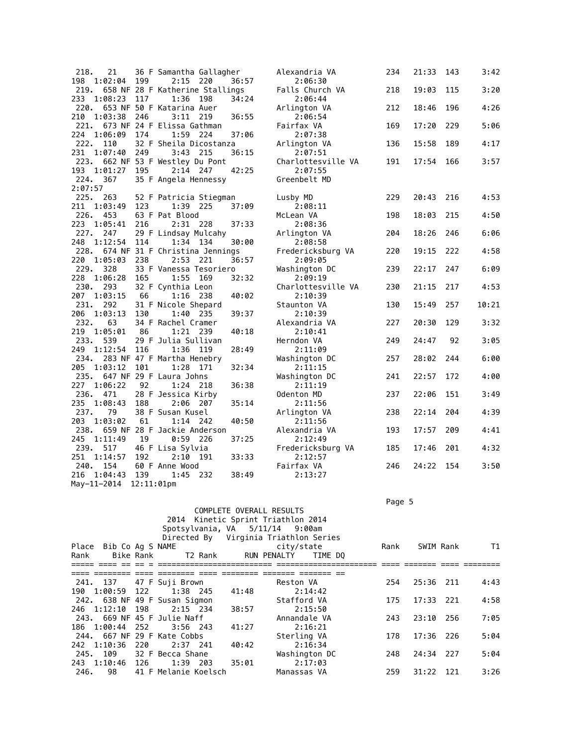| 218.                   | 21      |     | 36 F Samantha Gallagher          |     |       | Alexandria VA      | 234 | 21:33 | 143 | 3:42  |
|------------------------|---------|-----|----------------------------------|-----|-------|--------------------|-----|-------|-----|-------|
| 198                    | 1:02:04 | 199 | 2:15 220                         |     | 36:57 | 2:06:30            |     |       |     |       |
| 219.                   |         |     | 658 NF 28 F Katherine Stallings  |     |       | Falls Church VA    | 218 | 19:03 | 115 | 3:20  |
| 233                    | 1:08:23 | 117 | 1:36                             | 198 | 34:24 | 2:06:44            |     |       |     |       |
| 220.                   |         |     | 653 NF 50 F Katarina Auer        |     |       | Arlington VA       | 212 | 18:46 | 196 | 4:26  |
| 210                    | 1:03:38 | 246 | 3:11                             | 219 | 36:55 | 2:06:54            |     |       |     |       |
| 221.                   |         |     | 673 NF 24 F Elissa Gathman       |     |       | Fairfax VA         | 169 | 17:20 | 229 | 5:06  |
| 224                    | 1:06:09 | 174 | 1:59 224                         |     | 37:06 | 2:07:38            |     |       |     |       |
| 222.                   | 110     |     | 32 F Sheila Dicostanza           |     |       | Arlington VA       | 136 | 15:58 | 189 | 4:17  |
| 231                    | 1:07:40 | 249 | $3:43$ 215                       |     | 36:15 | 2:07:51            |     |       |     |       |
|                        |         |     | 223. 662 NF 53 F Westley Du Pont |     |       | Charlottesville VA | 191 | 17:54 | 166 | 3:57  |
| 193                    | 1:01:27 | 195 | $2:14$ 247                       |     | 42:25 | 2:07:55            |     |       |     |       |
| 224.                   | 367     |     | 35 F Angela Hennessy             |     |       | Greenbelt MD       |     |       |     |       |
| 2:07:57                |         |     |                                  |     |       |                    |     |       |     |       |
| 225. 263               |         |     | 52 F Patricia Stiegman           |     |       | Lusby MD           | 229 | 20:43 | 216 | 4:53  |
| 211                    | 1:03:49 | 123 | 1:39 225                         |     | 37:09 | 2:08:11            |     |       |     |       |
| 226. 453               |         |     | 63 F Pat Blood                   |     |       | McLean VA          | 198 | 18:03 | 215 | 4:50  |
| 223                    | 1:05:41 | 216 | 2:31                             | 228 | 37:33 | 2:08:36            |     |       |     |       |
| 227.                   | 247     |     | 29 F Lindsay Mulcahy             |     |       | Arlington VA       | 204 | 18:26 | 246 | 6:06  |
| 248                    | 1:12:54 | 114 | 1:34 134                         |     | 30:00 | 2:08:58            |     |       |     |       |
| 228.                   |         |     | 674 NF 31 F Christina Jennings   |     |       | Fredericksburg VA  | 220 | 19:15 | 222 | 4:58  |
| 220                    | 1:05:03 | 238 | 2:53 221                         |     | 36:57 | 2:09:05            |     |       |     |       |
| 229. 328               |         |     | 33 F Vanessa Tesoriero           |     |       | Washington DC      | 239 | 22:17 | 247 | 6:09  |
| 228                    | 1:06:28 | 165 | 1:55                             | 169 | 32:32 | 2:09:19            |     |       |     |       |
| 230.                   | 293     |     | 32 F Cynthia Leon                |     |       | Charlottesville VA | 230 | 21:15 | 217 | 4:53  |
| 207                    | 1:03:15 | 66  | $1:16$ 238                       |     | 40:02 | 2:10:39            |     |       |     |       |
| 231.                   | 292     |     | 31 F Nicole Shepard              |     |       | Staunton VA        | 130 | 15:49 | 257 | 10:21 |
| 206                    | 1:03:13 | 130 | 1:40 235                         |     | 39:37 | 2:10:39            |     |       |     |       |
| 232.                   | 63      |     | 34 F Rachel Cramer               |     |       | Alexandria VA      | 227 | 20:30 | 129 | 3:32  |
| 219                    | 1:05:01 | 86  | 1:21                             | 239 | 40:18 | 2:10:41            |     |       |     |       |
| 233.                   | 539     |     | 29 F Julia Sullivan              |     |       | Herndon VA         | 249 | 24:47 | 92  | 3:05  |
| 249                    | 1:12:54 | 116 | 1:36 119                         |     | 28:49 | 2:11:09            |     |       |     |       |
| 234.                   |         |     | 283 NF 47 F Martha Henebry       |     |       | Washington DC      | 257 | 28:02 | 244 | 6:00  |
| 205                    | 1:03:12 | 101 | 1:28                             | 171 | 32:34 | 2:11:15            |     |       |     |       |
|                        |         |     | 235. 647 NF 29 F Laura Johns     |     |       | Washington DC      | 241 | 22:57 | 172 | 4:00  |
| 227                    | 1:06:22 | 92  | 1:24                             | 218 | 36:38 | 2:11:19            |     |       |     |       |
| 236.                   | 471     |     | 28 F Jessica Kirby               |     |       | Odenton MD         | 237 | 22:06 | 151 | 3:49  |
| 235                    | 1:08:43 | 188 | 2:06 207                         |     | 35:14 | 2:11:56            |     |       |     |       |
| 237.                   | 79      |     | 38 F Susan Kusel                 |     |       | Arlington VA       | 238 | 22:14 | 204 | 4:39  |
| 203                    | 1:03:02 | 61  | $1:14$ 242                       |     | 40:50 | 2:11:56            |     |       |     |       |
| 238.                   |         |     | 659 NF 28 F Jackie Anderson      |     |       | Alexandria VA      | 193 | 17:57 | 209 | 4:41  |
| 245                    | 1:11:49 | 19  | $0:59$ 226                       |     | 37:25 | 2:12:49            |     |       |     |       |
| 239.                   | 517     |     | 46 F Lisa Sylvia                 |     |       | Fredericksburg VA  | 185 | 17:46 | 201 | 4:32  |
| 251                    | 1:14:57 | 192 | $2:10$ 191                       |     | 33:33 | 2:12:57            |     |       |     |       |
| 240.                   | 154     |     | 60 F Anne Wood                   |     |       | Fairfax VA         | 246 | 24:22 | 154 | 3:50  |
| 216                    | 1:04:43 | 139 | 1:45 232                         |     | 38:49 | 2:13:27            |     |       |     |       |
| May-11-2014 12:11:01pm |         |     |                                  |     |       |                    |     |       |     |       |

Page 5 - Page 5 - Page 5 - Page 5 - Page 5 - Page 5 - Page 5 - Page 5 - Page 5 - Page 5 - Page 5

|      |                        |           |                               |                     | COMPLETE OVERALL RESULTS<br>2014 Kinetic Sprint Triathlon 2014<br>Spotsylvania, VA 5/11/14 9:00am<br>Directed By Virginia Triathlon Series |               |      |           |      |      |
|------|------------------------|-----------|-------------------------------|---------------------|--------------------------------------------------------------------------------------------------------------------------------------------|---------------|------|-----------|------|------|
|      | Place Bib Co Ag S NAME |           |                               |                     | city/state                                                                                                                                 |               | Rank | SWIM Rank |      | T1   |
| Rank |                        | Bike Rank |                               | T2 Rank RUN PENALTY |                                                                                                                                            | TIME DO       |      |           |      |      |
|      |                        |           |                               |                     |                                                                                                                                            |               |      |           |      |      |
|      |                        |           | 241. 137 47 F Suji Brown      |                     | Reston VA                                                                                                                                  |               | 254  | 25:36 211 |      | 4:43 |
|      |                        |           | 190 1:00:59 122 1:38 245      | 41:48               |                                                                                                                                            | 2:14:42       |      |           |      |      |
|      |                        |           | 242. 638 NF 49 F Susan Sigmon |                     | Stafford VA                                                                                                                                |               | 175  | 17:33     | -221 | 4:58 |
|      | 246 1:12:10 198        |           | 2:15 234                      | 38:57               |                                                                                                                                            | 2:15:50       |      |           |      |      |
|      |                        |           | 243. 669 NF 45 F Julie Naff   |                     |                                                                                                                                            | Annandale VA  | 243  | 23:10     | 256  | 7:05 |
|      | 186 1:00:44 252        |           | $3:56$ 243                    | 41:27               |                                                                                                                                            | 2:16:21       |      |           |      |      |
|      |                        |           | 244. 667 NF 29 F Kate Cobbs   |                     | Sterling VA                                                                                                                                |               | 178  | 17:36     | -226 | 5:04 |
|      | 242 1:10:36            | 220       | 2:37 241                      | 40:42               |                                                                                                                                            | 2:16:34       |      |           |      |      |
|      |                        |           | 245. 109 32 F Becca Shane     |                     |                                                                                                                                            | Washington DC | 248  | 24:34 227 |      | 5:04 |
|      | 243 1:10:46 126        |           | 1:39 203                      | 35:01               | 2:17:03                                                                                                                                    |               |      |           |      |      |
| 246. | 98                     |           | 41 F Melanie Koelsch          |                     | Manassas VA                                                                                                                                |               | 259  | 31:22     | -121 | 3:26 |
|      |                        |           |                               |                     |                                                                                                                                            |               |      |           |      |      |